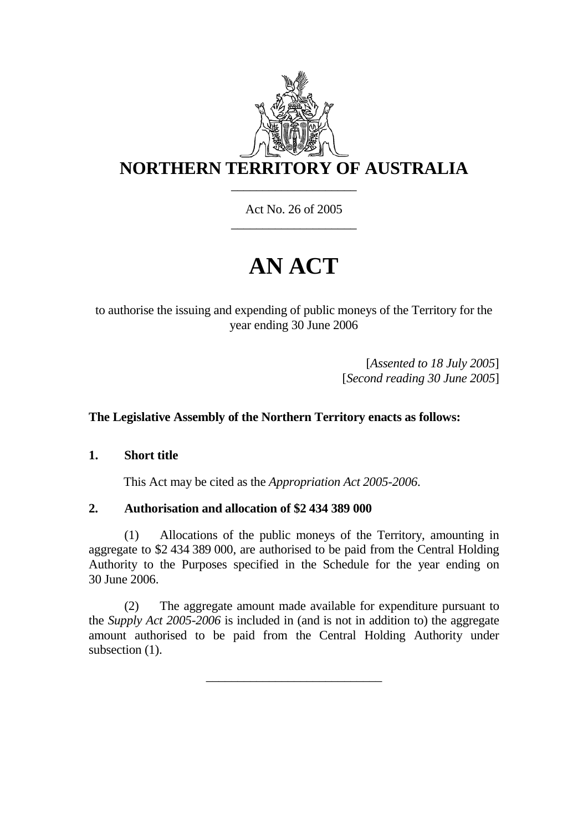

Act No. 26 of 2005 \_\_\_\_\_\_\_\_\_\_\_\_\_\_\_\_\_\_\_\_

# **AN ACT**

to authorise the issuing and expending of public moneys of the Territory for the year ending 30 June 2006

> [*Assented to 18 July 2005*] [*Second reading 30 June 2005*]

### **The Legislative Assembly of the Northern Territory enacts as follows:**

#### **1. Short title**

This Act may be cited as the *Appropriation Act 2005-2006*.

#### **2. Authorisation and allocation of \$2 434 389 000**

(1) Allocations of the public moneys of the Territory, amounting in aggregate to \$2 434 389 000, are authorised to be paid from the Central Holding Authority to the Purposes specified in the Schedule for the year ending on 30 June 2006.

(2) The aggregate amount made available for expenditure pursuant to the *Supply Act 2005-2006* is included in (and is not in addition to) the aggregate amount authorised to be paid from the Central Holding Authority under subsection  $(1)$ .

\_\_\_\_\_\_\_\_\_\_\_\_\_\_\_\_\_\_\_\_\_\_\_\_\_\_\_\_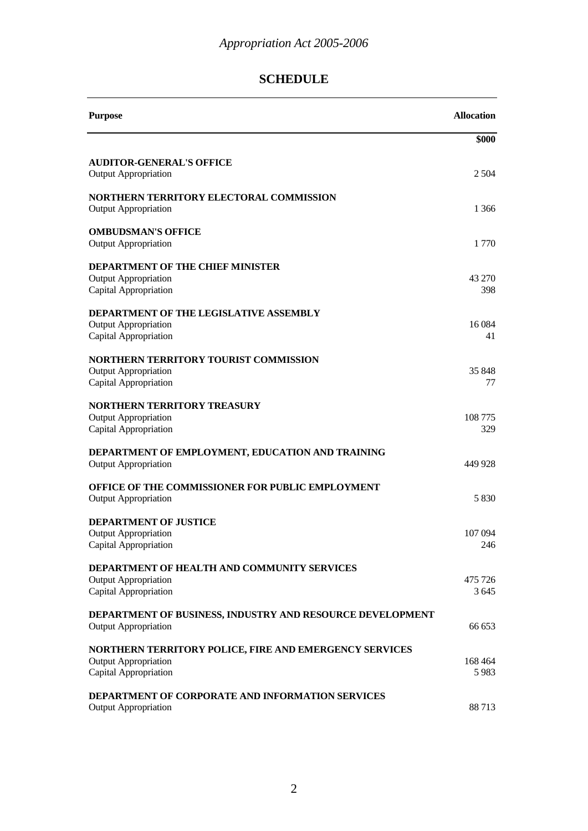# **SCHEDULE**

| <b>Purpose</b>                                                                                                 | <b>Allocation</b>  |
|----------------------------------------------------------------------------------------------------------------|--------------------|
|                                                                                                                | \$000              |
| <b>AUDITOR-GENERAL'S OFFICE</b><br><b>Output Appropriation</b>                                                 | 2 5 0 4            |
| NORTHERN TERRITORY ELECTORAL COMMISSION<br><b>Output Appropriation</b>                                         | 1 366              |
| <b>OMBUDSMAN'S OFFICE</b><br><b>Output Appropriation</b>                                                       | 1770               |
| <b>DEPARTMENT OF THE CHIEF MINISTER</b><br><b>Output Appropriation</b><br>Capital Appropriation                | 43 270<br>398      |
| DEPARTMENT OF THE LEGISLATIVE ASSEMBLY<br><b>Output Appropriation</b><br>Capital Appropriation                 | 16084<br>41        |
| NORTHERN TERRITORY TOURIST COMMISSION<br><b>Output Appropriation</b><br>Capital Appropriation                  | 35 848<br>77       |
| <b>NORTHERN TERRITORY TREASURY</b><br><b>Output Appropriation</b><br>Capital Appropriation                     | 108775<br>329      |
| DEPARTMENT OF EMPLOYMENT, EDUCATION AND TRAINING<br><b>Output Appropriation</b>                                | 449 928            |
| OFFICE OF THE COMMISSIONER FOR PUBLIC EMPLOYMENT<br><b>Output Appropriation</b>                                | 5830               |
| <b>DEPARTMENT OF JUSTICE</b><br><b>Output Appropriation</b><br>Capital Appropriation                           | 107 094<br>246     |
| DEPARTMENT OF HEALTH AND COMMUNITY SERVICES<br><b>Output Appropriation</b><br>Capital Appropriation            | 475 726<br>3 6 4 5 |
| DEPARTMENT OF BUSINESS, INDUSTRY AND RESOURCE DEVELOPMENT<br><b>Output Appropriation</b>                       | 66 653             |
| NORTHERN TERRITORY POLICE, FIRE AND EMERGENCY SERVICES<br><b>Output Appropriation</b><br>Capital Appropriation | 168 464<br>5983    |
| <b>DEPARTMENT OF CORPORATE AND INFORMATION SERVICES</b><br><b>Output Appropriation</b>                         | 88713              |